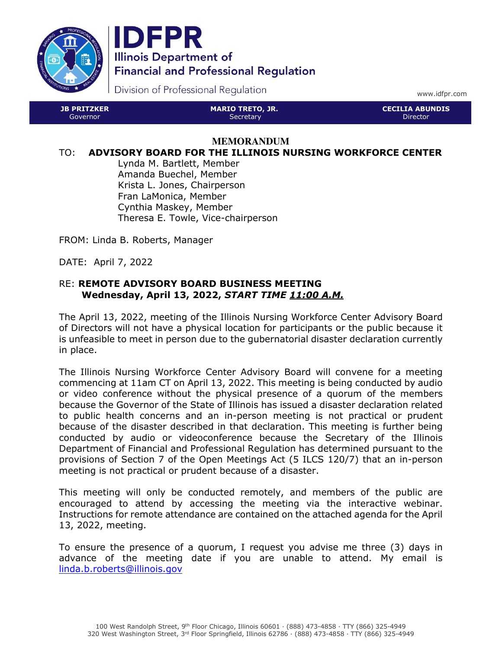



Division of Professional Regulation

www.idfpr.com

| <b>JB PRITZKER</b> | <b>MARIO TRETO, JR.</b> | LCECILIA ABUNDIS ! |
|--------------------|-------------------------|--------------------|
| Governor.          | Secretary               | 'Director          |

#### **MEMORANDUM**

#### TO: ADVISORY BOARD FOR THE ILLINOIS NURSING WORKFORCE CENTER

Lynda M. Bartlett, Member Amanda Buechel, Member Krista L. Jones, Chairperson Fran LaMonica, Member Cynthia Maskey, Member Theresa E. Towle, Vice-chairperson

FROM: Linda B. Roberts, Manager

DATE: April 7, 2022

# RE: REMOTE ADVISORY BOARD BUSINESS MEETING Wednesday, April 13, 2022, START TIME 11:00 A.M.

The April 13, 2022, meeting of the Illinois Nursing Workforce Center Advisory Board of Directors will not have a physical location for participants or the public because it is unfeasible to meet in person due to the gubernatorial disaster declaration currently in place.

The Illinois Nursing Workforce Center Advisory Board will convene for a meeting commencing at 11am CT on April 13, 2022. This meeting is being conducted by audio or video conference without the physical presence of a quorum of the members because the Governor of the State of Illinois has issued a disaster declaration related to public health concerns and an in-person meeting is not practical or prudent because of the disaster described in that declaration. This meeting is further being conducted by audio or videoconference because the Secretary of the Illinois Department of Financial and Professional Regulation has determined pursuant to the provisions of Section 7 of the Open Meetings Act (5 ILCS 120/7) that an in-person meeting is not practical or prudent because of a disaster.

This meeting will only be conducted remotely, and members of the public are encouraged to attend by accessing the meeting via the interactive webinar. Instructions for remote attendance are contained on the attached agenda for the April 13, 2022, meeting.

To ensure the presence of a quorum, I request you advise me three (3) days in advance of the meeting date if you are unable to attend. My email is linda.b.roberts@illinois.gov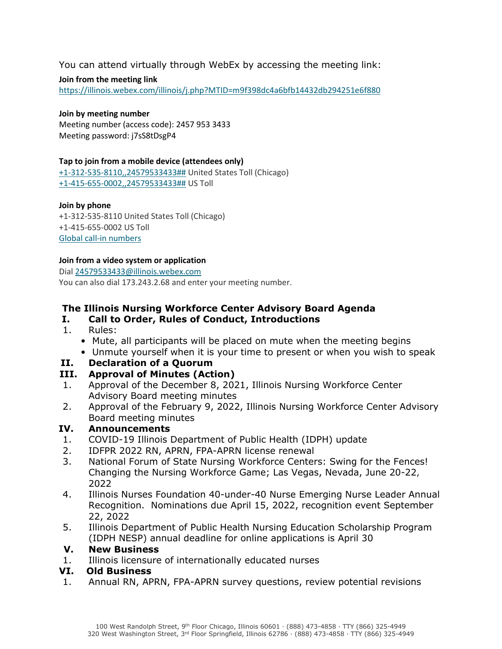# You can attend virtually through WebEx by accessing the meeting link:

#### Join from the meeting link

https://illinois.webex.com/illinois/j.php?MTID=m9f398dc4a6bfb14432db294251e6f880

#### Join by meeting number

Meeting number (access code): 2457 953 3433 Meeting password: j7sS8tDsgP4

#### Tap to join from a mobile device (attendees only)

+1-312-535-8110,,24579533433## United States Toll (Chicago) +1-415-655-0002,,24579533433## US Toll

#### Join by phone

+1-312-535-8110 United States Toll (Chicago) +1-415-655-0002 US Toll Global call-in numbers

#### Join from a video system or application

Dial 24579533433@illinois.webex.com

You can also dial 173.243.2.68 and enter your meeting number.

# The Illinois Nursing Workforce Center Advisory Board Agenda

### I. Call to Order, Rules of Conduct, Introductions

- 1. Rules:
	- Mute, all participants will be placed on mute when the meeting begins
	- Unmute yourself when it is your time to present or when you wish to speak

# II. Declaration of a Quorum

# III. Approval of Minutes (Action)

- 1. Approval of the December 8, 2021, Illinois Nursing Workforce Center Advisory Board meeting minutes
- 2. Approval of the February 9, 2022, Illinois Nursing Workforce Center Advisory Board meeting minutes

# IV. Announcements

- 1. COVID-19 Illinois Department of Public Health (IDPH) update
- 2. IDFPR 2022 RN, APRN, FPA-APRN license renewal
- 3. National Forum of State Nursing Workforce Centers: Swing for the Fences! Changing the Nursing Workforce Game; Las Vegas, Nevada, June 20-22, 2022
- 4. Illinois Nurses Foundation 40-under-40 Nurse Emerging Nurse Leader Annual Recognition. Nominations due April 15, 2022, recognition event September 22, 2022
- 5. Illinois Department of Public Health Nursing Education Scholarship Program (IDPH NESP) annual deadline for online applications is April 30

### V. New Business

1. Illinois licensure of internationally educated nurses

### VI. Old Business

1. Annual RN, APRN, FPA-APRN survey questions, review potential revisions